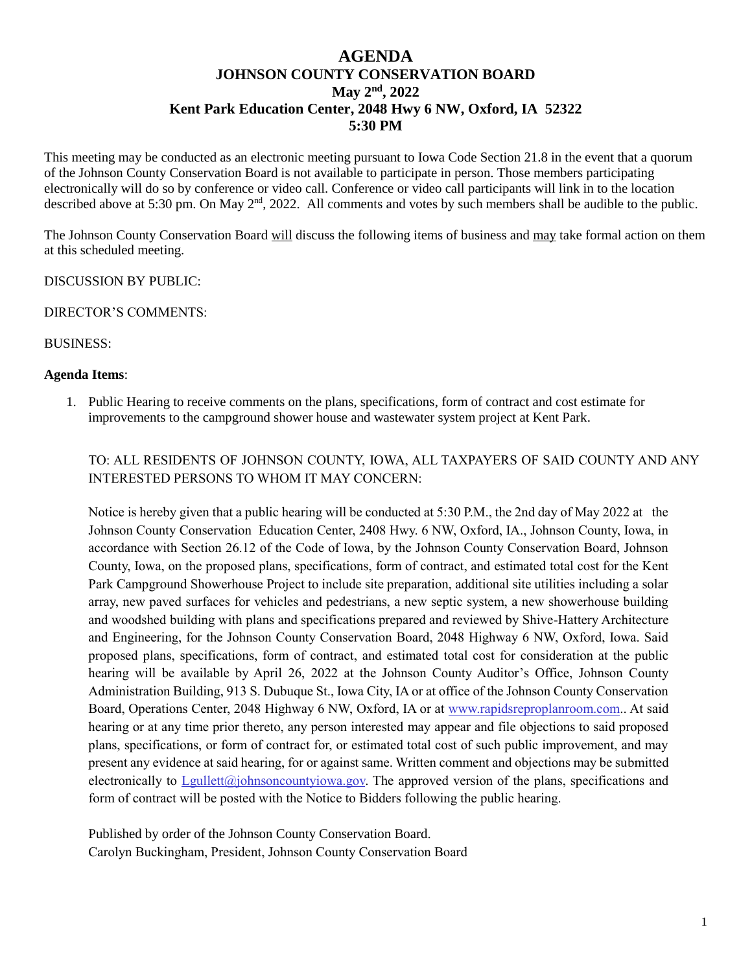## **AGENDA JOHNSON COUNTY CONSERVATION BOARD May 2nd , 2022 Kent Park Education Center, 2048 Hwy 6 NW, Oxford, IA 52322 5:30 PM**

This meeting may be conducted as an electronic meeting pursuant to Iowa Code Section 21.8 in the event that a quorum of the Johnson County Conservation Board is not available to participate in person. Those members participating electronically will do so by conference or video call. Conference or video call participants will link in to the location described above at 5:30 pm. On May 2<sup>nd</sup>, 2022. All comments and votes by such members shall be audible to the public.

The Johnson County Conservation Board will discuss the following items of business and may take formal action on them at this scheduled meeting.

DISCUSSION BY PUBLIC:

DIRECTOR'S COMMENTS:

BUSINESS:

## **Agenda Items**:

1. Public Hearing to receive comments on the plans, specifications, form of contract and cost estimate for improvements to the campground shower house and wastewater system project at Kent Park.

TO: ALL RESIDENTS OF JOHNSON COUNTY, IOWA, ALL TAXPAYERS OF SAID COUNTY AND ANY INTERESTED PERSONS TO WHOM IT MAY CONCERN:

Notice is hereby given that a public hearing will be conducted at 5:30 P.M., the 2nd day of May 2022 at the Johnson County Conservation Education Center, 2408 Hwy. 6 NW, Oxford, IA., Johnson County, Iowa, in accordance with Section 26.12 of the Code of Iowa, by the Johnson County Conservation Board, Johnson County, Iowa, on the proposed plans, specifications, form of contract, and estimated total cost for the Kent Park Campground Showerhouse Project to include site preparation, additional site utilities including a solar array, new paved surfaces for vehicles and pedestrians, a new septic system, a new showerhouse building and woodshed building with plans and specifications prepared and reviewed by Shive-Hattery Architecture and Engineering, for the Johnson County Conservation Board, 2048 Highway 6 NW, Oxford, Iowa. Said proposed plans, specifications, form of contract, and estimated total cost for consideration at the public hearing will be available by April 26, 2022 at the Johnson County Auditor's Office, Johnson County Administration Building, 913 S. Dubuque St., Iowa City, IA or at office of the Johnson County Conservation Board, Operations Center, 2048 Highway 6 NW, Oxford, IA or at [www.rapidsreproplanroom.com.](https://protect-us.mimecast.com/s/o78VCjRNw0F7wYyCRhk5s?domain=rapidsreproplanroom.com). At said hearing or at any time prior thereto, any person interested may appear and file objections to said proposed plans, specifications, or form of contract for, or estimated total cost of such public improvement, and may present any evidence at said hearing, for or against same. Written comment and objections may be submitted electronically to [Lgullett@johnsoncountyiowa.gov.](mailto:Lgullett@johnsoncountyiowa.gov) The approved version of the plans, specifications and form of contract will be posted with the Notice to Bidders following the public hearing.

Published by order of the Johnson County Conservation Board. Carolyn Buckingham, President, Johnson County Conservation Board